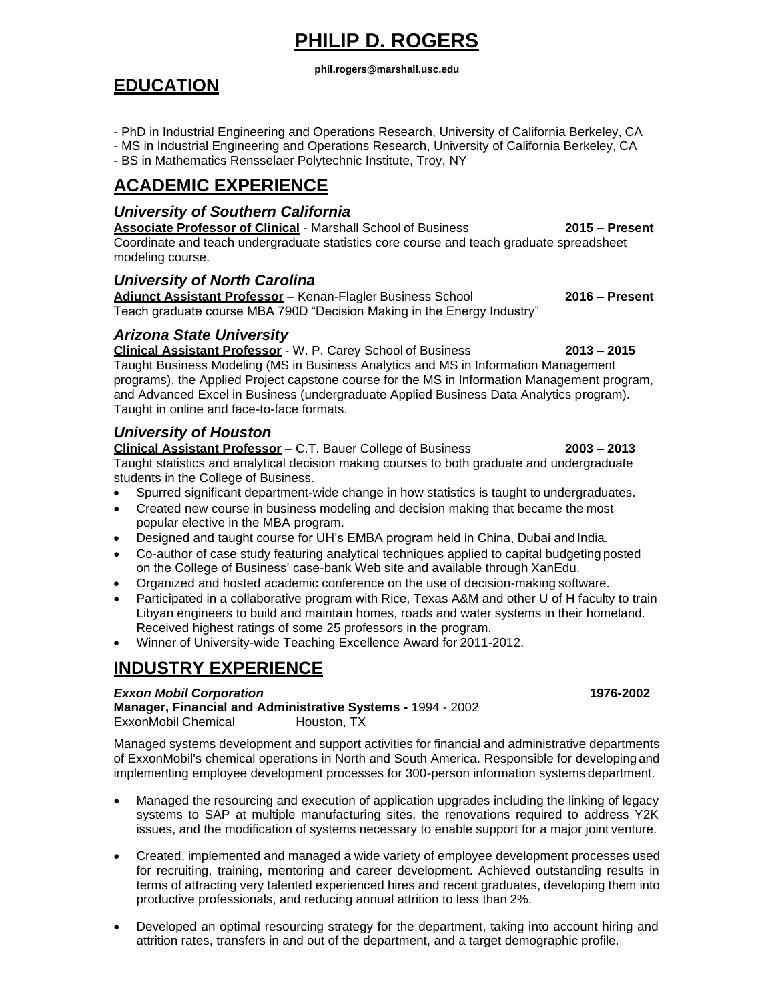# **PHILIP D. ROGERS**

#### **[phil.rogers@marshall.usc.edu](mailto:phil.rogers@marshall.usc.edu)**

# **EDUCATION**

- PhD in Industrial Engineering and Operations Research, University of California Berkeley, CA
- MS in Industrial Engineering and Operations Research, University of California Berkeley, CA
- BS in Mathematics Rensselaer Polytechnic Institute, Troy, NY

# **ACADEMIC EXPERIENCE**

## *University of Southern California*

**Associate Professor of Clinical** - Marshall School of Business **2015 – Present**  Coordinate and teach undergraduate statistics core course and teach graduate spreadsheet modeling course.

## *University of North Carolina*

**Adjunct Assistant Professor** – Kenan-Flagler Business School **2016 – Present** Teach graduate course MBA 790D "Decision Making in the Energy Industry"

## *Arizona State University*

**Clinical Assistant Professor** - W. P. Carey School of Business **2013 – 2015** Taught Business Modeling (MS in Business Analytics and MS in Information Management programs), the Applied Project capstone course for the MS in Information Management program, and Advanced Excel in Business (undergraduate Applied Business Data Analytics program). Taught in online and face-to-face formats.

## *University of Houston*

**Clinical Assistant Professor** – C.T. Bauer College of Business **2003 – 2013** Taught statistics and analytical decision making courses to both graduate and undergraduate students in the College of Business.

- Spurred significant department-wide change in how statistics is taught to undergraduates.
- Created new course in business modeling and decision making that became the most popular elective in the MBA program.
- Designed and taught course for UH's EMBA program held in China, Dubai and India.
- Co-author of case study featuring analytical techniques applied to capital budgeting posted on the College of Business' case-bank Web site and available through XanEdu.
- Organized and hosted academic conference on the use of decision-making software.
- Participated in a collaborative program with Rice, Texas A&M and other U of H faculty to train Libyan engineers to build and maintain homes, roads and water systems in their homeland. Received highest ratings of some 25 professors in the program.
- Winner of University-wide Teaching Excellence Award for 2011-2012.

# **INDUSTRY EXPERIENCE**

### *Exxon Mobil Corporation* **1976-2002**

**Manager, Financial and Administrative Systems -** 1994 - 2002 ExxonMobil Chemical

Managed systems development and support activities for financial and administrative departments of ExxonMobil's chemical operations in North and South America. Responsible for developing and implementing employee development processes for 300-person information systems department.

- Managed the resourcing and execution of application upgrades including the linking of legacy systems to SAP at multiple manufacturing sites, the renovations required to address Y2K issues, and the modification of systems necessary to enable support for a major joint venture.
- Created, implemented and managed a wide variety of employee development processes used for recruiting, training, mentoring and career development. Achieved outstanding results in terms of attracting very talented experienced hires and recent graduates, developing them into productive professionals, and reducing annual attrition to less than 2%.
- Developed an optimal resourcing strategy for the department, taking into account hiring and attrition rates, transfers in and out of the department, and a target demographic profile.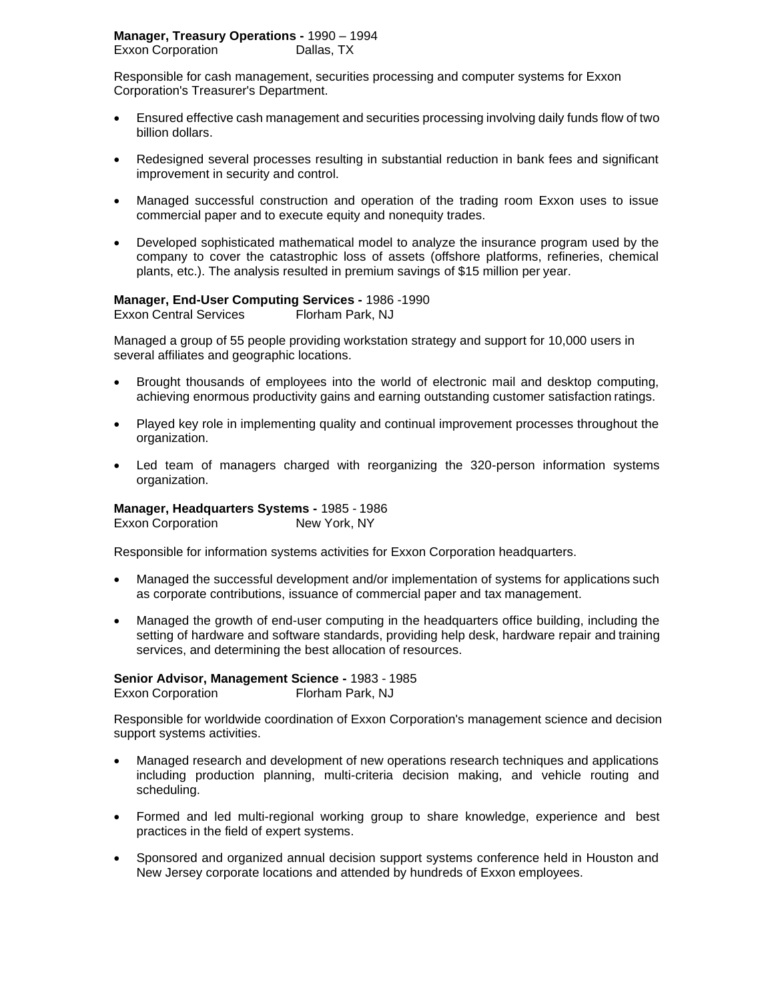Responsible for cash management, securities processing and computer systems for Exxon Corporation's Treasurer's Department.

- Ensured effective cash management and securities processing involving daily funds flow of two billion dollars.
- Redesigned several processes resulting in substantial reduction in bank fees and significant improvement in security and control.
- Managed successful construction and operation of the trading room Exxon uses to issue commercial paper and to execute equity and nonequity trades.
- Developed sophisticated mathematical model to analyze the insurance program used by the company to cover the catastrophic loss of assets (offshore platforms, refineries, chemical plants, etc.). The analysis resulted in premium savings of \$15 million per year.

## **Manager, End-User Computing Services -** 1986 -1990

Exxon Central Services Florham Park, NJ

Managed a group of 55 people providing workstation strategy and support for 10,000 users in several affiliates and geographic locations.

- Brought thousands of employees into the world of electronic mail and desktop computing, achieving enormous productivity gains and earning outstanding customer satisfaction ratings.
- Played key role in implementing quality and continual improvement processes throughout the organization.
- Led team of managers charged with reorganizing the 320-person information systems organization.

**Manager, Headquarters Systems -** 1985 - 1986 Exxon Corporation New York, NY

Responsible for information systems activities for Exxon Corporation headquarters.

- Managed the successful development and/or implementation of systems for applications such as corporate contributions, issuance of commercial paper and tax management.
- Managed the growth of end-user computing in the headquarters office building, including the setting of hardware and software standards, providing help desk, hardware repair and training services, and determining the best allocation of resources.

**Senior Advisor, Management Science -** 1983 - 1985 Exxon Corporation Florham Park, NJ

Responsible for worldwide coordination of Exxon Corporation's management science and decision support systems activities.

- Managed research and development of new operations research techniques and applications including production planning, multi-criteria decision making, and vehicle routing and scheduling.
- Formed and led multi-regional working group to share knowledge, experience and best practices in the field of expert systems.
- Sponsored and organized annual decision support systems conference held in Houston and New Jersey corporate locations and attended by hundreds of Exxon employees.